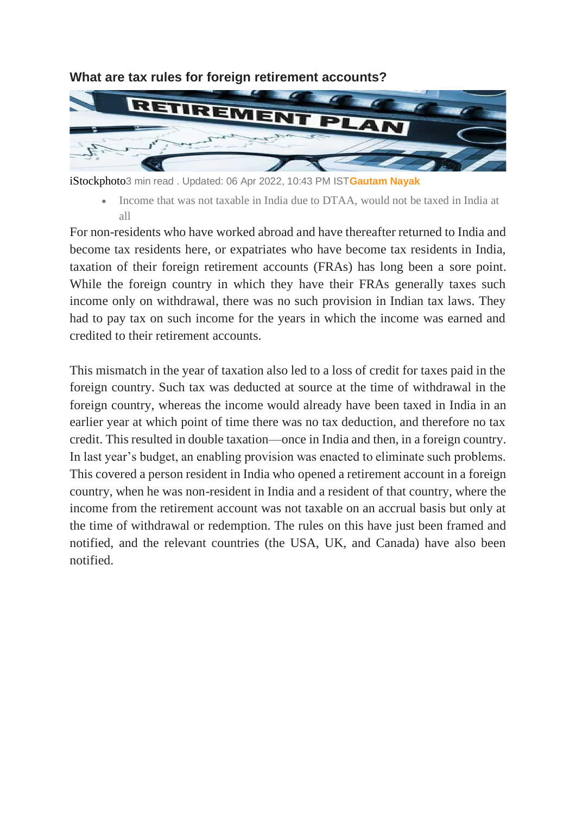

**What are tax rules for foreign retirement accounts?**

iStockphoto3 min read . Updated: 06 Apr 2022, 10:43 PM IST**[Gautam Nayak](https://www.livemint.com/Search/Link/Author/Gautam-Nayak)**

• Income that was not taxable in India due to DTAA, would not be taxed in India at all

For non-residents who have worked abroad and have thereafter returned to India and become tax residents here, or expatriates who have become tax residents in India, taxation of their foreign retirement accounts (FRAs) has long been a sore point. While the foreign country in which they have their FRAs generally taxes such income only on withdrawal, there was no such provision in Indian tax laws. They had to pay tax on such income for the years in which the income was earned and credited to their retirement accounts.

This mismatch in the year of taxation also led to a loss of credit for taxes paid in the foreign country. Such tax was deducted at source at the time of withdrawal in the foreign country, whereas the income would already have been taxed in India in an earlier year at which point of time there was no tax deduction, and therefore no tax credit. This resulted in double taxation—once in India and then, in a foreign country. In last year's budget, an enabling provision was enacted to eliminate such problems. This covered a person resident in India who opened a retirement account in a foreign country, when he was non-resident in India and a resident of that country, where the income from the retirement account was not taxable on an accrual basis but only at the time of withdrawal or redemption. The rules on this have just been framed and notified, and the relevant countries (the USA, UK, and Canada) have also been notified.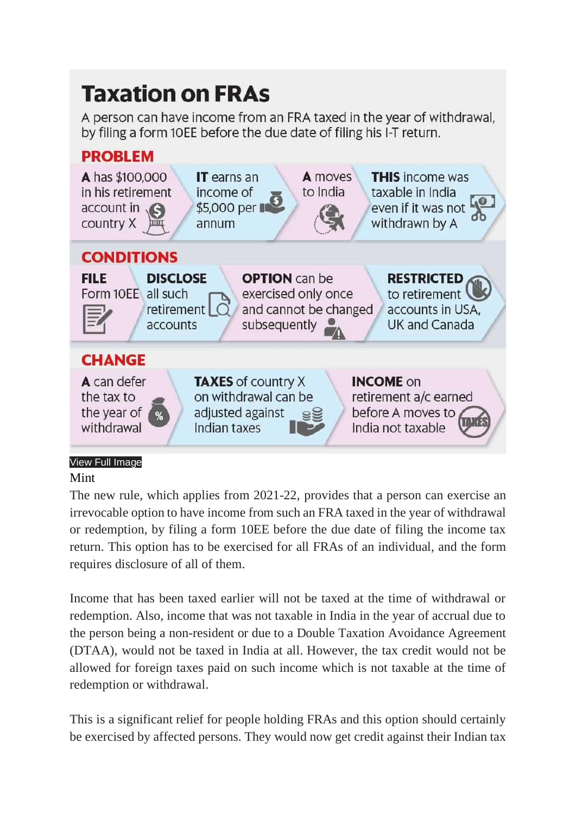## **Taxation on FRAs**

A person can have income from an FRA taxed in the year of withdrawal, by filing a form 10EE before the due date of filing his I-T return.



## Mint

The new rule, which applies from 2021-22, provides that a person can exercise an irrevocable option to have income from such an FRA taxed in the year of withdrawal or redemption, by filing a form 10EE before the due date of filing the income tax return. This option has to be exercised for all FRAs of an individual, and the form requires disclosure of all of them.

Income that has been taxed earlier will not be taxed at the time of withdrawal or redemption. Also, income that was not taxable in India in the year of accrual due to the person being a non-resident or due to a Double Taxation Avoidance Agreement (DTAA), would not be taxed in India at all. However, the tax credit would not be allowed for foreign taxes paid on such income which is not taxable at the time of redemption or withdrawal.

This is a significant relief for people holding FRAs and this option should certainly be exercised by affected persons. They would now get credit against their Indian tax